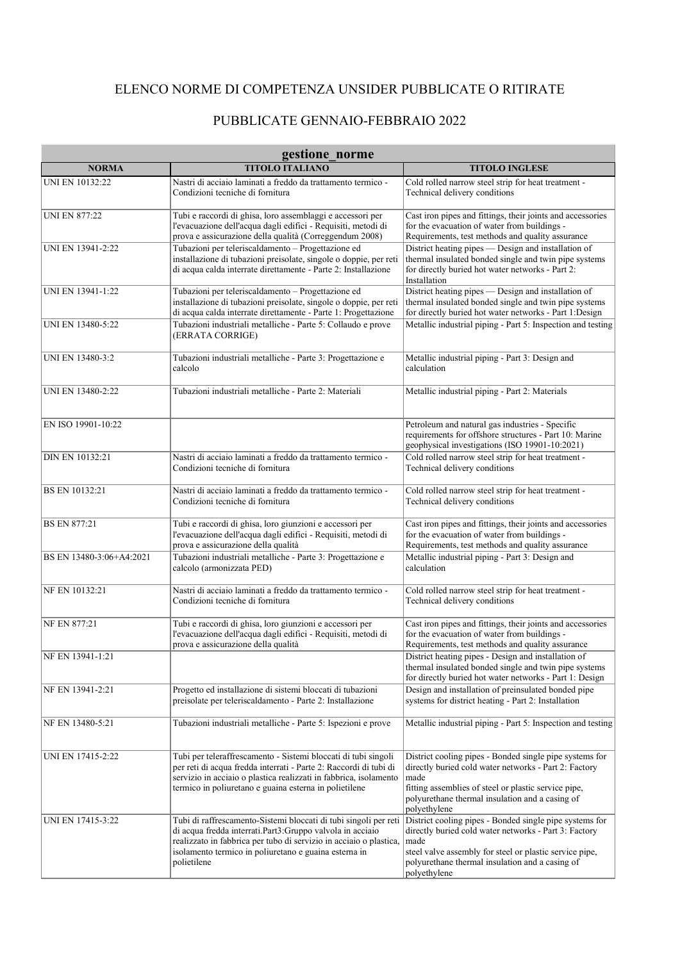## ELENCO NORME DI COMPETENZA UNSIDER PUBBLICATE O RITIRATE

## PUBBLICATE GENNAIO-FEBBRAIO 2022

| gestione norme           |                                                                                                                                                                                                                                                                             |                                                                                                                                                                                                                                                        |  |  |
|--------------------------|-----------------------------------------------------------------------------------------------------------------------------------------------------------------------------------------------------------------------------------------------------------------------------|--------------------------------------------------------------------------------------------------------------------------------------------------------------------------------------------------------------------------------------------------------|--|--|
| <b>NORMA</b>             | <b>TITOLO ITALIANO</b>                                                                                                                                                                                                                                                      | <b>TITOLO INGLESE</b>                                                                                                                                                                                                                                  |  |  |
| UNI EN 10132:22          | Nastri di acciaio laminati a freddo da trattamento termico -<br>Condizioni tecniche di fornitura                                                                                                                                                                            | Cold rolled narrow steel strip for heat treatment -<br>Technical delivery conditions                                                                                                                                                                   |  |  |
| <b>UNI EN 877:22</b>     | Tubi e raccordi di ghisa, loro assemblaggi e accessori per<br>l'evacuazione dell'acqua dagli edifici - Requisiti, metodi di<br>prova e assicurazione della qualità (Correggendum 2008)                                                                                      | Cast iron pipes and fittings, their joints and accessories<br>for the evacuation of water from buildings -<br>Requirements, test methods and quality assurance                                                                                         |  |  |
| UNI EN 13941-2:22        | Tubazioni per teleriscaldamento - Progettazione ed<br>installazione di tubazioni preisolate, singole o doppie, per reti<br>di acqua calda interrate direttamente - Parte 2: Installazione                                                                                   | District heating pipes — Design and installation of<br>thermal insulated bonded single and twin pipe systems<br>for directly buried hot water networks - Part 2:<br>Installation                                                                       |  |  |
| UNI EN 13941-1:22        | Tubazioni per teleriscaldamento - Progettazione ed<br>installazione di tubazioni preisolate, singole o doppie, per reti<br>di acqua calda interrate direttamente - Parte 1: Progettazione                                                                                   | District heating pipes - Design and installation of<br>thermal insulated bonded single and twin pipe systems<br>for directly buried hot water networks - Part 1:Design                                                                                 |  |  |
| UNI EN 13480-5:22        | Tubazioni industriali metalliche - Parte 5: Collaudo e prove<br>(ERRATA CORRIGE)                                                                                                                                                                                            | Metallic industrial piping - Part 5: Inspection and testing                                                                                                                                                                                            |  |  |
| UNI EN 13480-3:2         | Tubazioni industriali metalliche - Parte 3: Progettazione e<br>calcolo                                                                                                                                                                                                      | Metallic industrial piping - Part 3: Design and<br>calculation                                                                                                                                                                                         |  |  |
| UNI EN 13480-2:22        | Tubazioni industriali metalliche - Parte 2: Materiali                                                                                                                                                                                                                       | Metallic industrial piping - Part 2: Materials                                                                                                                                                                                                         |  |  |
| EN ISO 19901-10:22       |                                                                                                                                                                                                                                                                             | Petroleum and natural gas industries - Specific<br>requirements for offshore structures - Part 10: Marine<br>geophysical investigations (ISO 19901-10:2021)                                                                                            |  |  |
| DIN EN 10132:21          | Nastri di acciaio laminati a freddo da trattamento termico -<br>Condizioni tecniche di fornitura                                                                                                                                                                            | Cold rolled narrow steel strip for heat treatment -<br>Technical delivery conditions                                                                                                                                                                   |  |  |
| BS EN 10132:21           | Nastri di acciaio laminati a freddo da trattamento termico -<br>Condizioni tecniche di fornitura                                                                                                                                                                            | Cold rolled narrow steel strip for heat treatment -<br>Technical delivery conditions                                                                                                                                                                   |  |  |
| <b>BS EN 877:21</b>      | Tubi e raccordi di ghisa, loro giunzioni e accessori per<br>l'evacuazione dell'acqua dagli edifici - Requisiti, metodi di<br>prova e assicurazione della qualità                                                                                                            | Cast iron pipes and fittings, their joints and accessories<br>for the evacuation of water from buildings -<br>Requirements, test methods and quality assurance                                                                                         |  |  |
| BS EN 13480-3:06+A4:2021 | Tubazioni industriali metalliche - Parte 3: Progettazione e<br>calcolo (armonizzata PED)                                                                                                                                                                                    | Metallic industrial piping - Part 3: Design and<br>calculation                                                                                                                                                                                         |  |  |
| NF EN 10132:21           | Nastri di acciaio laminati a freddo da trattamento termico -<br>Condizioni tecniche di fornitura                                                                                                                                                                            | Cold rolled narrow steel strip for heat treatment -<br>Technical delivery conditions                                                                                                                                                                   |  |  |
| <b>NF EN 877:21</b>      | Tubi e raccordi di ghisa, loro giunzioni e accessori per<br>l'evacuazione dell'acqua dagli edifici - Requisiti, metodi di<br>prova e assicurazione della qualità                                                                                                            | Cast iron pipes and fittings, their joints and accessories<br>for the evacuation of water from buildings -<br>Requirements, test methods and quality assurance                                                                                         |  |  |
| NF EN 13941-1:21         |                                                                                                                                                                                                                                                                             | District heating pipes - Design and installation of<br>thermal insulated bonded single and twin pipe systems<br>for directly buried hot water networks - Part 1: Design                                                                                |  |  |
| NF EN 13941-2:21         | Progetto ed installazione di sistemi bloccati di tubazioni<br>preisolate per teleriscaldamento - Parte 2: Installazione                                                                                                                                                     | Design and installation of preinsulated bonded pipe<br>systems for district heating - Part 2: Installation                                                                                                                                             |  |  |
| NF EN 13480-5:21         | Tubazioni industriali metalliche - Parte 5: Ispezioni e prove                                                                                                                                                                                                               | Metallic industrial piping - Part 5: Inspection and testing                                                                                                                                                                                            |  |  |
| UNI EN 17415-2:22        | Tubi per teleraffrescamento - Sistemi bloccati di tubi singoli<br>per reti di acqua fredda interrati - Parte 2: Raccordi di tubi di<br>servizio in acciaio o plastica realizzati in fabbrica, isolamento<br>termico in poliuretano e guaina esterna in polietilene          | District cooling pipes - Bonded single pipe systems for<br>directly buried cold water networks - Part 2: Factory<br>made<br>fitting assemblies of steel or plastic service pipe,<br>polyurethane thermal insulation and a casing of<br>polyethylene    |  |  |
| UNI EN 17415-3:22        | Tubi di raffrescamento-Sistemi bloccati di tubi singoli per reti<br>di acqua fredda interrati.Part3:Gruppo valvola in acciaio<br>realizzato in fabbrica per tubo di servizio in acciaio o plastica,<br>isolamento termico in poliuretano e guaina esterna in<br>polietilene | District cooling pipes - Bonded single pipe systems for<br>directly buried cold water networks - Part 3: Factory<br>made<br>steel valve assembly for steel or plastic service pipe,<br>polyurethane thermal insulation and a casing of<br>polyethylene |  |  |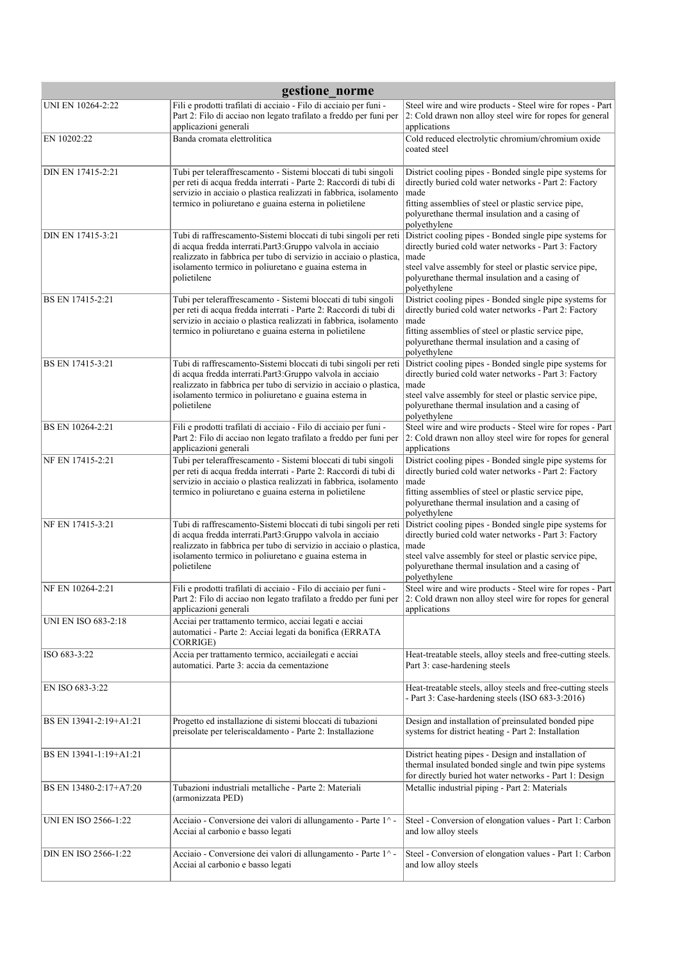| gestione norme              |                                                                                                                                                                                                                                                                               |                                                                                                                                                                                                                                                        |  |  |
|-----------------------------|-------------------------------------------------------------------------------------------------------------------------------------------------------------------------------------------------------------------------------------------------------------------------------|--------------------------------------------------------------------------------------------------------------------------------------------------------------------------------------------------------------------------------------------------------|--|--|
| UNI EN 10264-2:22           | Fili e prodotti trafilati di acciaio - Filo di acciaio per funi -<br>Part 2: Filo di acciao non legato trafilato a freddo per funi per<br>applicazioni generali                                                                                                               | Steel wire and wire products - Steel wire for ropes - Part<br>2: Cold drawn non alloy steel wire for ropes for general<br>applications                                                                                                                 |  |  |
| EN 10202:22                 | Banda cromata elettrolitica                                                                                                                                                                                                                                                   | Cold reduced electrolytic chromium/chromium oxide<br>coated steel                                                                                                                                                                                      |  |  |
| DIN EN 17415-2:21           | Tubi per teleraffrescamento - Sistemi bloccati di tubi singoli<br>per reti di acqua fredda interrati - Parte 2: Raccordi di tubi di<br>servizio in acciaio o plastica realizzati in fabbrica, isolamento<br>termico in poliuretano e guaina esterna in polietilene            | District cooling pipes - Bonded single pipe systems for<br>directly buried cold water networks - Part 2: Factory<br>made<br>fitting assemblies of steel or plastic service pipe,<br>polyurethane thermal insulation and a casing of<br>polyethylene    |  |  |
| DIN EN 17415-3:21           | Tubi di raffrescamento-Sistemi bloccati di tubi singoli per reti<br>di acqua fredda interrati.Part3:Gruppo valvola in acciaio<br>realizzato in fabbrica per tubo di servizio in acciaio o plastica,<br>isolamento termico in poliuretano e guaina esterna in<br>polietilene   | District cooling pipes - Bonded single pipe systems for<br>directly buried cold water networks - Part 3: Factory<br>made<br>steel valve assembly for steel or plastic service pipe,<br>polyurethane thermal insulation and a casing of<br>polyethylene |  |  |
| BS EN 17415-2:21            | Tubi per teleraffrescamento - Sistemi bloccati di tubi singoli<br>per reti di acqua fredda interrati - Parte 2: Raccordi di tubi di<br>servizio in acciaio o plastica realizzati in fabbrica, isolamento<br>termico in poliuretano e guaina esterna in polietilene            | District cooling pipes - Bonded single pipe systems for<br>directly buried cold water networks - Part 2: Factory<br>made<br>fitting assemblies of steel or plastic service pipe,<br>polyurethane thermal insulation and a casing of<br>polyethylene    |  |  |
| BS EN 17415-3:21            | Tubi di raffrescamento-Sistemi bloccati di tubi singoli per reti<br>di acqua fredda interrati. Part3: Gruppo valvola in acciaio<br>realizzato in fabbrica per tubo di servizio in acciaio o plastica,<br>isolamento termico in poliuretano e guaina esterna in<br>polietilene | District cooling pipes - Bonded single pipe systems for<br>directly buried cold water networks - Part 3: Factory<br>made<br>steel valve assembly for steel or plastic service pipe,<br>polyurethane thermal insulation and a casing of<br>polyethylene |  |  |
| BS EN 10264-2:21            | Fili e prodotti trafilati di acciaio - Filo di acciaio per funi -<br>Part 2: Filo di acciao non legato trafilato a freddo per funi per<br>applicazioni generali                                                                                                               | Steel wire and wire products - Steel wire for ropes - Part<br>2: Cold drawn non alloy steel wire for ropes for general<br>applications                                                                                                                 |  |  |
| NF EN 17415-2:21            | Tubi per teleraffrescamento - Sistemi bloccati di tubi singoli<br>per reti di acqua fredda interrati - Parte 2: Raccordi di tubi di<br>servizio in acciaio o plastica realizzati in fabbrica, isolamento<br>termico in poliuretano e guaina esterna in polietilene            | District cooling pipes - Bonded single pipe systems for<br>directly buried cold water networks - Part 2: Factory<br>made<br>fitting assemblies of steel or plastic service pipe,<br>polyurethane thermal insulation and a casing of<br>polyethylene    |  |  |
| NF EN 17415-3:21            | Tubi di raffrescamento-Sistemi bloccati di tubi singoli per reti<br>di acqua fredda interrati.Part3:Gruppo valvola in acciaio<br>realizzato in fabbrica per tubo di servizio in acciaio o plastica,<br>isolamento termico in poliuretano e guaina esterna in<br>polietilene   | District cooling pipes - Bonded single pipe systems for<br>directly buried cold water networks - Part 3: Factory<br>made<br>steel valve assembly for steel or plastic service pipe,<br>polyurethane thermal insulation and a casing of<br>polyethylene |  |  |
| NF EN 10264-2:21            | Fili e prodotti trafilati di acciaio - Filo di acciaio per funi -<br>Part 2: Filo di acciao non legato trafilato a freddo per funi per<br>applicazioni generali                                                                                                               | Steel wire and wire products - Steel wire for ropes - Part<br>2: Cold drawn non alloy steel wire for ropes for general<br>applications                                                                                                                 |  |  |
| UNI EN ISO 683-2:18         | Acciai per trattamento termico, acciai legati e acciai<br>automatici - Parte 2: Acciai legati da bonifica (ERRATA<br>CORRIGE)                                                                                                                                                 |                                                                                                                                                                                                                                                        |  |  |
| ISO 683-3:22                | Accia per trattamento termico, acciailegati e acciai<br>automatici. Parte 3: accia da cementazione                                                                                                                                                                            | Heat-treatable steels, alloy steels and free-cutting steels.<br>Part 3: case-hardening steels                                                                                                                                                          |  |  |
| EN ISO 683-3:22             |                                                                                                                                                                                                                                                                               | Heat-treatable steels, alloy steels and free-cutting steels<br>- Part 3: Case-hardening steels (ISO 683-3:2016)                                                                                                                                        |  |  |
| BS EN 13941-2:19+A1:21      | Progetto ed installazione di sistemi bloccati di tubazioni<br>preisolate per teleriscaldamento - Parte 2: Installazione                                                                                                                                                       | Design and installation of preinsulated bonded pipe<br>systems for district heating - Part 2: Installation                                                                                                                                             |  |  |
| BS EN 13941-1:19+A1:21      |                                                                                                                                                                                                                                                                               | District heating pipes - Design and installation of<br>thermal insulated bonded single and twin pipe systems<br>for directly buried hot water networks - Part 1: Design                                                                                |  |  |
| BS EN 13480-2:17+A7:20      | Tubazioni industriali metalliche - Parte 2: Materiali<br>(armonizzata PED)                                                                                                                                                                                                    | Metallic industrial piping - Part 2: Materials                                                                                                                                                                                                         |  |  |
| <b>UNI EN ISO 2566-1:22</b> | Acciaio - Conversione dei valori di allungamento - Parte 1^ -<br>Acciai al carbonio e basso legati                                                                                                                                                                            | Steel - Conversion of elongation values - Part 1: Carbon<br>and low alloy steels                                                                                                                                                                       |  |  |
| DIN EN ISO 2566-1:22        | Acciaio - Conversione dei valori di allungamento - Parte 1^ -<br>Acciai al carbonio e basso legati                                                                                                                                                                            | Steel - Conversion of elongation values - Part 1: Carbon<br>and low alloy steels                                                                                                                                                                       |  |  |